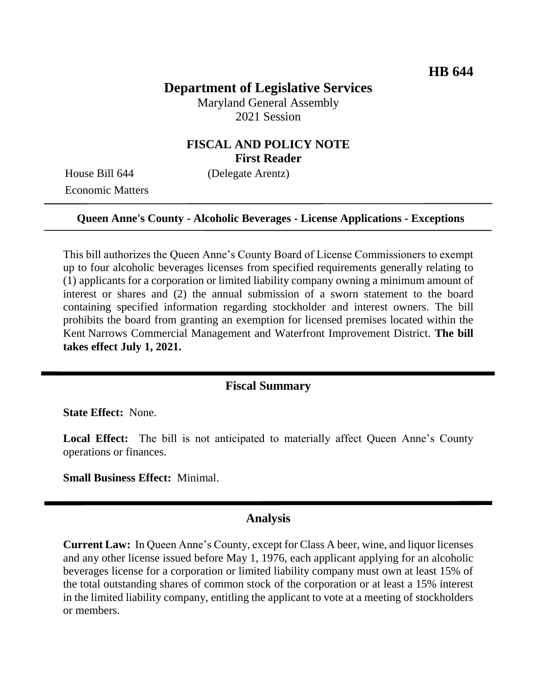# **Department of Legislative Services**

Maryland General Assembly 2021 Session

### **FISCAL AND POLICY NOTE First Reader**

Economic Matters

House Bill 644 (Delegate Arentz)

#### **Queen Anne's County - Alcoholic Beverages - License Applications - Exceptions**

This bill authorizes the Queen Anne's County Board of License Commissioners to exempt up to four alcoholic beverages licenses from specified requirements generally relating to (1) applicants for a corporation or limited liability company owning a minimum amount of interest or shares and (2) the annual submission of a sworn statement to the board containing specified information regarding stockholder and interest owners. The bill prohibits the board from granting an exemption for licensed premises located within the Kent Narrows Commercial Management and Waterfront Improvement District. **The bill takes effect July 1, 2021.**

### **Fiscal Summary**

**State Effect:** None.

Local Effect: The bill is not anticipated to materially affect Queen Anne's County operations or finances.

**Small Business Effect:** Minimal.

#### **Analysis**

**Current Law:** In Queen Anne's County, except for Class A beer, wine, and liquor licenses and any other license issued before May 1, 1976, each applicant applying for an alcoholic beverages license for a corporation or limited liability company must own at least 15% of the total outstanding shares of common stock of the corporation or at least a 15% interest in the limited liability company, entitling the applicant to vote at a meeting of stockholders or members.